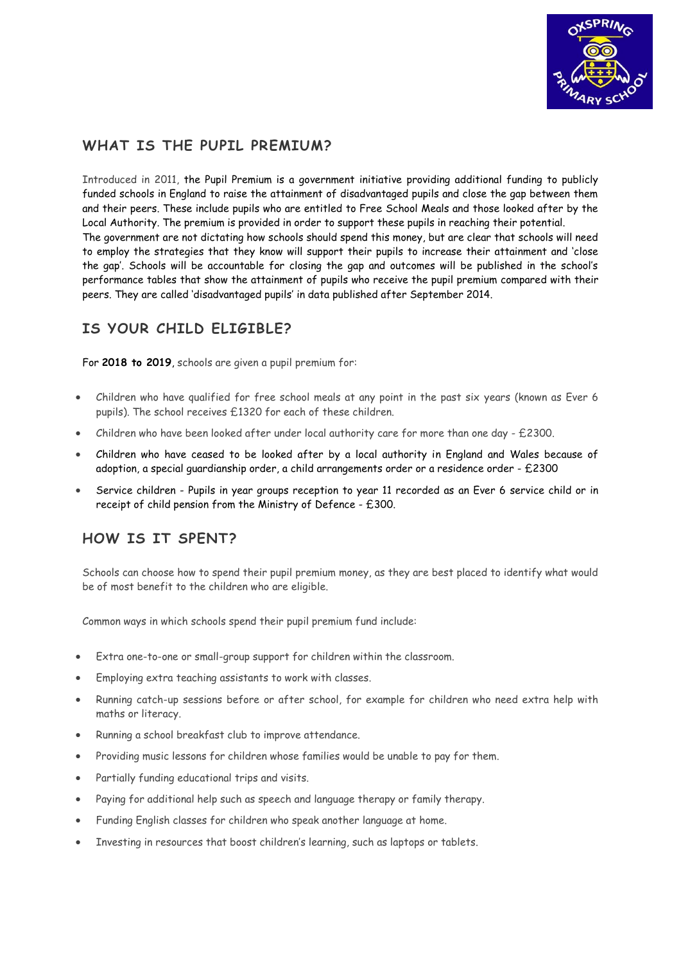

## **WHAT IS THE PUPIL PREMIUM?**

Introduced in 2011, the Pupil Premium is a government initiative providing additional funding to publicly funded schools in England to raise the attainment of disadvantaged pupils and close the gap between them and their peers. These include pupils who are entitled to Free School Meals and those looked after by the Local Authority. The premium is provided in order to support these pupils in reaching their potential. The government are not dictating how schools should spend this money, but are clear that schools will need to employ the strategies that they know will support their pupils to increase their attainment and 'close the gap'. Schools will be accountable for closing the gap and outcomes will be published in the school's performance tables that show the attainment of pupils who receive the pupil premium compared with their peers. They are called 'disadvantaged pupils' in data published after September 2014.

# **IS YOUR CHILD ELIGIBLE?**

For **2018 to 2019**, schools are given a pupil premium for:

- Children who have qualified for free school meals at any point in the past six years (known as Ever 6 pupils). The school receives £1320 for each of these children.
- Children who have been looked after under local authority care for more than one day £2300.
- Children who have ceased to be looked after by a local authority in England and Wales because of adoption, a special guardianship order, a child arrangements order or a residence order - £2300
- Service children Pupils in year groups reception to year 11 recorded as an Ever 6 service child or in receipt of child pension from the Ministry of Defence - £300.

# **HOW IS IT SPENT?**

Schools can choose how to spend their pupil premium money, as they are best placed to identify what would be of most benefit to the children who are eligible.

Common ways in which schools spend their pupil premium fund include:

- Extra one-to-one or small-group support for children within the classroom.
- Employing extra teaching assistants to work with classes.
- Running catch-up sessions before or after school, for example for children who need extra help with maths or literacy.
- Running a school breakfast club to improve attendance.
- Providing music lessons for children whose families would be unable to pay for them.
- Partially funding educational trips and visits.
- Paying for additional help such as speech and language therapy or family therapy.
- Funding English classes for children who speak another language at home.
- Investing in resources that boost children's learning, such as laptops or tablets.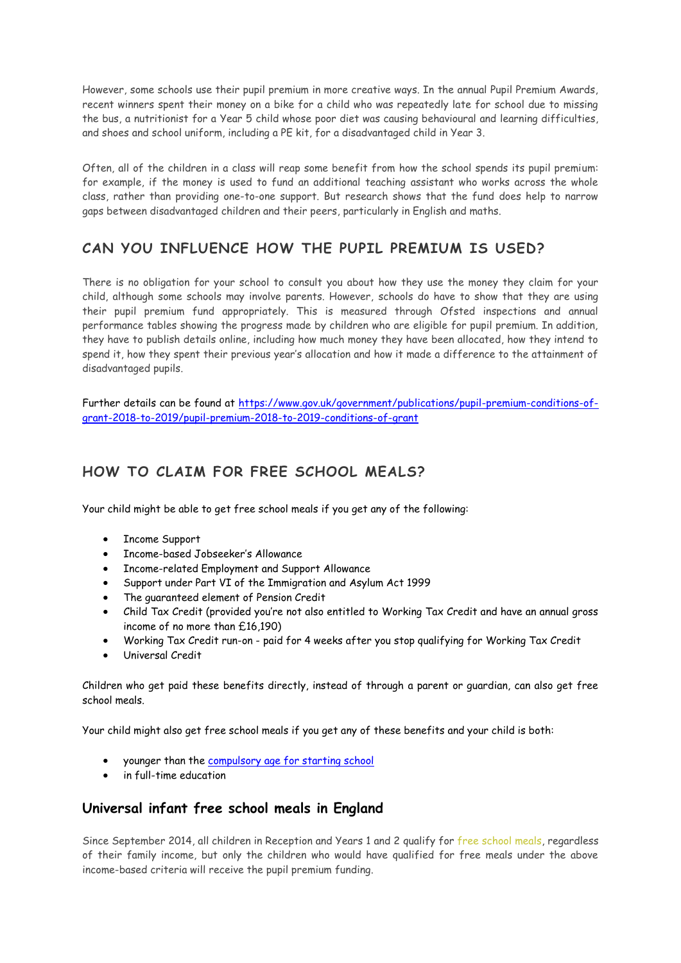However, some schools use their pupil premium in more creative ways. In the annual Pupil Premium Awards, recent winners spent their money on a bike for a child who was repeatedly late for school due to missing the bus, a nutritionist for a Year 5 child whose poor diet was causing behavioural and learning difficulties, and shoes and school uniform, including a PE kit, for a disadvantaged child in Year 3.

Often, all of the children in a class will reap some benefit from how the school spends its pupil premium: for example, if the money is used to fund an additional teaching assistant who works across the whole class, rather than providing one-to-one support. But research shows that the fund does help to narrow gaps between disadvantaged children and their peers, particularly in English and maths.

# **CAN YOU INFLUENCE HOW THE PUPIL PREMIUM IS USED?**

There is no obligation for your school to consult you about how they use the money they claim for your child, although some schools may involve parents. However, schools do have to show that they are using their pupil premium fund appropriately. This is measured through Ofsted inspections and annual performance tables showing the progress made by children who are eligible for pupil premium. In addition, they have to publish details online, including how much money they have been allocated, how they intend to spend it, how they spent their previous year's allocation and how it made a difference to the attainment of disadvantaged pupils.

Further details can be found at [https://www.gov.uk/government/publications/pupil-premium-conditions-of](https://www.gov.uk/government/publications/pupil-premium-conditions-of-grant-2018-to-2019/pupil-premium-2018-to-2019-conditions-of-grant)[grant-2018-to-2019/pupil-premium-2018-to-2019-conditions-of-grant](https://www.gov.uk/government/publications/pupil-premium-conditions-of-grant-2018-to-2019/pupil-premium-2018-to-2019-conditions-of-grant)

## **HOW TO CLAIM FOR FREE SCHOOL MEALS?**

Your child might be able to get free school meals if you get any of the following:

- Income Support
- Income-based Jobseeker's Allowance
- Income-related Employment and Support Allowance
- Support under Part VI of the Immigration and Asylum Act 1999
- The guaranteed element of Pension Credit
- Child Tax Credit (provided you're not also entitled to Working Tax Credit and have an annual gross income of no more than £16,190)
- Working Tax Credit run-on paid for 4 weeks after you stop qualifying for Working Tax Credit
- Universal Credit

Children who get paid these benefits directly, instead of through a parent or guardian, can also get free school meals.

Your child might also get free school meals if you get any of these benefits and your child is both:

- younger than the [compulsory age for starting school](https://www.gov.uk/school-attendance-absence/)
- in full-time education

### **Universal infant free school meals in England**

Since September 2014, all children in Reception and Years 1 and 2 qualify for [free school meals,](http://www.theschoolrun.com/free-school-meals-for-infant-children) regardless of their family income, but only the children who would have qualified for free meals under the above income-based criteria will receive the pupil premium funding.